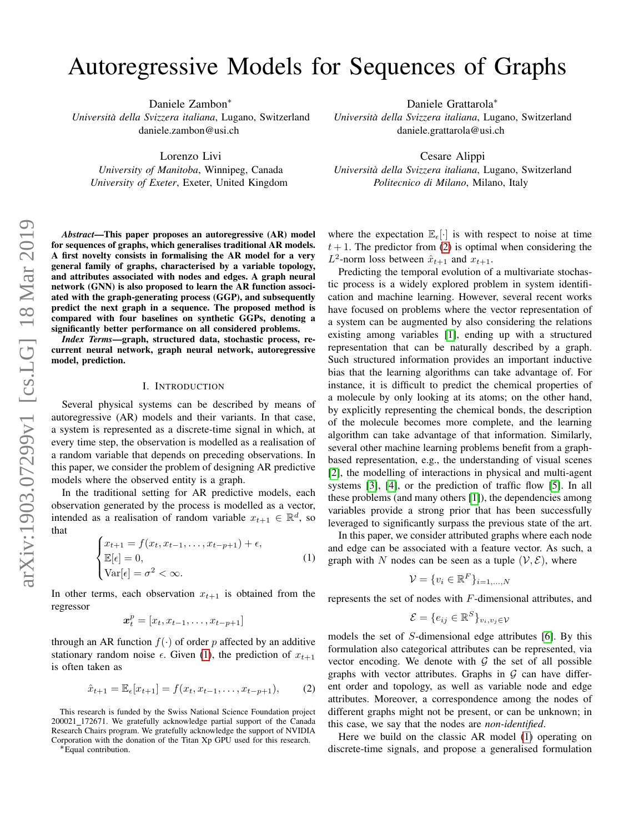# Autoregressive Models for Sequences of Graphs

Daniele Zambon<sup>∗</sup> *Universita della Svizzera italiana `* , Lugano, Switzerland daniele.zambon@usi.ch

Lorenzo Livi

*University of Manitoba*, Winnipeg, Canada *University of Exeter*, Exeter, United Kingdom

arXiv:1903.07299v1 [cs.LG] 18 Mar 2019 arXiv:1903.07299v1 [cs.LG] 18 Mar 2019

*Abstract*—This paper proposes an autoregressive (AR) model for sequences of graphs, which generalises traditional AR models. A first novelty consists in formalising the AR model for a very general family of graphs, characterised by a variable topology, and attributes associated with nodes and edges. A graph neural network (GNN) is also proposed to learn the AR function associated with the graph-generating process (GGP), and subsequently predict the next graph in a sequence. The proposed method is compared with four baselines on synthetic GGPs, denoting a significantly better performance on all considered problems.

*Index Terms*—graph, structured data, stochastic process, recurrent neural network, graph neural network, autoregressive model, prediction.

## I. INTRODUCTION

Several physical systems can be described by means of autoregressive (AR) models and their variants. In that case, a system is represented as a discrete-time signal in which, at every time step, the observation is modelled as a realisation of a random variable that depends on preceding observations. In this paper, we consider the problem of designing AR predictive models where the observed entity is a graph.

In the traditional setting for AR predictive models, each observation generated by the process is modelled as a vector, intended as a realisation of random variable  $x_{t+1} \in \mathbb{R}^d$ , so that

<span id="page-0-0"></span>
$$
\begin{cases} x_{t+1} = f(x_t, x_{t-1}, \dots, x_{t-p+1}) + \epsilon, \\ \mathbb{E}[\epsilon] = 0, \\ \text{Var}[\epsilon] = \sigma^2 < \infty. \end{cases} \tag{1}
$$

In other terms, each observation  $x_{t+1}$  is obtained from the regressor

$$
\boldsymbol{x}_t^p = [x_t, x_{t-1}, \ldots, x_{t-p+1}]
$$

through an AR function  $f(\cdot)$  of order p affected by an additive stationary random noise  $\epsilon$ . Given [\(1\)](#page-0-0), the prediction of  $x_{t+1}$ is often taken as

<span id="page-0-1"></span>
$$
\hat{x}_{t+1} = \mathbb{E}_{\epsilon}[x_{t+1}] = f(x_t, x_{t-1}, \dots, x_{t-p+1}), \tag{2}
$$

This research is funded by the Swiss National Science Foundation project 200021 172671. We gratefully acknowledge partial support of the Canada Research Chairs program. We gratefully acknowledge the support of NVIDIA Corporation with the donation of the Titan Xp GPU used for this research.

∗Equal contribution.

Daniele Grattarola<sup>∗</sup>

*Universita della Svizzera italiana `* , Lugano, Switzerland daniele.grattarola@usi.ch

Cesare Alippi *Universita della Svizzera italiana `* , Lugano, Switzerland *Politecnico di Milano*, Milano, Italy

where the expectation  $\mathbb{E}_{\epsilon}[\cdot]$  is with respect to noise at time  $t + 1$ . The predictor from [\(2\)](#page-0-1) is optimal when considering the  $L^2$ -norm loss between  $\hat{x}_{t+1}$  and  $x_{t+1}$ .

Predicting the temporal evolution of a multivariate stochastic process is a widely explored problem in system identification and machine learning. However, several recent works have focused on problems where the vector representation of a system can be augmented by also considering the relations existing among variables [\[1\]](#page-7-0), ending up with a structured representation that can be naturally described by a graph. Such structured information provides an important inductive bias that the learning algorithms can take advantage of. For instance, it is difficult to predict the chemical properties of a molecule by only looking at its atoms; on the other hand, by explicitly representing the chemical bonds, the description of the molecule becomes more complete, and the learning algorithm can take advantage of that information. Similarly, several other machine learning problems benefit from a graphbased representation, e.g., the understanding of visual scenes [\[2\]](#page-7-1), the modelling of interactions in physical and multi-agent systems [\[3\]](#page-7-2), [\[4\]](#page-7-3), or the prediction of traffic flow [\[5\]](#page-7-4). In all these problems (and many others [\[1\]](#page-7-0)), the dependencies among variables provide a strong prior that has been successfully leveraged to significantly surpass the previous state of the art.

In this paper, we consider attributed graphs where each node and edge can be associated with a feature vector. As such, a graph with N nodes can be seen as a tuple  $(\mathcal{V}, \mathcal{E})$ , where

$$
\mathcal{V} = \{v_i \in \mathbb{R}^F\}_{i=1,\dots,N}
$$

represents the set of nodes with F-dimensional attributes, and

$$
\mathcal{E} = \{e_{ij} \in \mathbb{R}^S\}_{v_i, v_j \in \mathcal{V}}
$$

models the set of S-dimensional edge attributes [\[6\]](#page-7-5). By this formulation also categorical attributes can be represented, via vector encoding. We denote with  $G$  the set of all possible graphs with vector attributes. Graphs in  $G$  can have different order and topology, as well as variable node and edge attributes. Moreover, a correspondence among the nodes of different graphs might not be present, or can be unknown; in this case, we say that the nodes are *non-identified*.

Here we build on the classic AR model [\(1\)](#page-0-0) operating on discrete-time signals, and propose a generalised formulation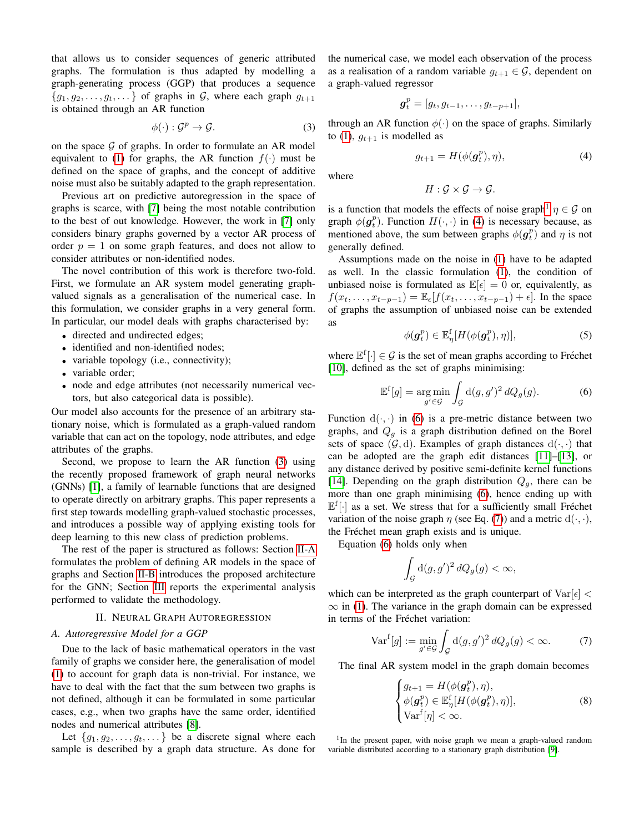that allows us to consider sequences of generic attributed graphs. The formulation is thus adapted by modelling a graph-generating process (GGP) that produces a sequence  ${g_1, g_2, \ldots, g_t, \ldots}$  of graphs in G, where each graph  $g_{t+1}$ is obtained through an AR function

<span id="page-1-0"></span>
$$
\phi(\cdot) : \mathcal{G}^p \to \mathcal{G}.\tag{3}
$$

on the space  $\mathcal G$  of graphs. In order to formulate an AR model equivalent to [\(1\)](#page-0-0) for graphs, the AR function  $f(.)$  must be defined on the space of graphs, and the concept of additive noise must also be suitably adapted to the graph representation.

Previous art on predictive autoregression in the space of graphs is scarce, with [\[7\]](#page-7-6) being the most notable contribution to the best of out knowledge. However, the work in [\[7\]](#page-7-6) only considers binary graphs governed by a vector AR process of order  $p = 1$  on some graph features, and does not allow to consider attributes or non-identified nodes.

The novel contribution of this work is therefore two-fold. First, we formulate an AR system model generating graphvalued signals as a generalisation of the numerical case. In this formulation, we consider graphs in a very general form. In particular, our model deals with graphs characterised by:

- directed and undirected edges;
- identified and non-identified nodes;
- variable topology (*i.e.*, connectivity);
- variable order;
- node and edge attributes (not necessarily numerical vectors, but also categorical data is possible).

Our model also accounts for the presence of an arbitrary stationary noise, which is formulated as a graph-valued random variable that can act on the topology, node attributes, and edge attributes of the graphs.

Second, we propose to learn the AR function [\(3\)](#page-1-0) using the recently proposed framework of graph neural networks (GNNs) [\[1\]](#page-7-0), a family of learnable functions that are designed to operate directly on arbitrary graphs. This paper represents a first step towards modelling graph-valued stochastic processes, and introduces a possible way of applying existing tools for deep learning to this new class of prediction problems.

The rest of the paper is structured as follows: Section [II-A](#page-1-1) formulates the problem of defining AR models in the space of graphs and Section [II-B](#page-2-0) introduces the proposed architecture for the GNN; Section [III](#page-2-1) reports the experimental analysis performed to validate the methodology.

#### II. NEURAL GRAPH AUTOREGRESSION

## <span id="page-1-1"></span>*A. Autoregressive Model for a GGP*

Due to the lack of basic mathematical operators in the vast family of graphs we consider here, the generalisation of model [\(1\)](#page-0-0) to account for graph data is non-trivial. For instance, we have to deal with the fact that the sum between two graphs is not defined, although it can be formulated in some particular cases, e.g., when two graphs have the same order, identified nodes and numerical attributes [\[8\]](#page-7-7).

Let  $\{q_1, q_2, \ldots, q_t, \ldots\}$  be a discrete signal where each sample is described by a graph data structure. As done for the numerical case, we model each observation of the process as a realisation of a random variable  $q_{t+1} \in \mathcal{G}$ , dependent on a graph-valued regressor

$$
\boldsymbol{g}_t^p = [g_t, g_{t-1}, \ldots, g_{t-p+1}],
$$

through an AR function  $\phi(\cdot)$  on the space of graphs. Similarly to [\(1\)](#page-0-0),  $g_{t+1}$  is modelled as

<span id="page-1-3"></span>
$$
g_{t+1} = H(\phi(\mathbf{g}_t^p), \eta), \tag{4}
$$

where

$$
H: \mathcal{G} \times \mathcal{G} \to \mathcal{G}.
$$

is a function that models the effects of noise graph<sup>[1](#page-1-2)</sup>  $\eta \in \mathcal{G}$  on graph  $\phi(g_t^p)$ . Function  $H(\cdot, \cdot)$  in [\(4\)](#page-1-3) is necessary because, as mentioned above, the sum between graphs  $\phi(g_t^p)$  and  $\eta$  is not generally defined.

Assumptions made on the noise in [\(1\)](#page-0-0) have to be adapted as well. In the classic formulation [\(1\)](#page-0-0), the condition of unbiased noise is formulated as  $\mathbb{E}[\epsilon] = 0$  or, equivalently, as  $f(x_t, \ldots, x_{t-p-1}) = \mathbb{E}_{\epsilon}[f(x_t, \ldots, x_{t-p-1}) + \epsilon]$ . In the space of graphs the assumption of unbiased noise can be extended as

<span id="page-1-7"></span>
$$
\phi(\boldsymbol{g}_t^p) \in \mathbb{E}_{\eta}^{\mathrm{f}}[H(\phi(\boldsymbol{g}_t^p), \eta)],\tag{5}
$$

where  $\mathbb{E}^{\{ \cdot \}}$   $\in \mathcal{G}$  is the set of mean graphs according to Fréchet [\[10\]](#page-7-8), defined as the set of graphs minimising:

<span id="page-1-4"></span>
$$
\mathbb{E}^{\mathsf{f}}[g] = \underset{g' \in \mathcal{G}}{\text{arg min}} \int_{\mathcal{G}} \mathrm{d}(g, g')^2 \, dQ_g(g). \tag{6}
$$

Function  $d(\cdot, \cdot)$  in [\(6\)](#page-1-4) is a pre-metric distance between two graphs, and  $Q_g$  is a graph distribution defined on the Borel sets of space  $(G, d)$ . Examples of graph distances  $d(\cdot, \cdot)$  that can be adopted are the graph edit distances [\[11\]](#page-7-9)–[\[13\]](#page-7-10), or any distance derived by positive semi-definite kernel functions [\[14\]](#page-7-11). Depending on the graph distribution  $Q<sub>a</sub>$ , there can be more than one graph minimising [\(6\)](#page-1-4), hence ending up with  $\mathbb{E}^{f}[\cdot]$  as a set. We stress that for a sufficiently small Fréchet variation of the noise graph  $\eta$  (see Eq. [\(7\)](#page-1-5)) and a metric  $d(\cdot, \cdot)$ , the Fréchet mean graph exists and is unique.

Equation [\(6\)](#page-1-4) holds only when

$$
\int_{\mathcal{G}} \mathrm{d}(g,g')^2 \, dQ_g(g) < \infty,
$$

which can be interpreted as the graph counterpart of  $Var[\epsilon]$  <  $\infty$  in [\(1\)](#page-0-0). The variance in the graph domain can be expressed in terms of the Fréchet variation:

<span id="page-1-5"></span>
$$
\operatorname{Var}^{\{f\}}[g] := \min_{g' \in \mathcal{G}} \int_{\mathcal{G}} d(g, g')^2 dQ_g(g) < \infty. \tag{7}
$$

The final AR system model in the graph domain becomes

<span id="page-1-6"></span>
$$
\begin{cases}\ng_{t+1} = H(\phi(\mathbf{g}_t^p), \eta), \\
\phi(\mathbf{g}_t^p) \in \mathbb{E}_\eta^{\mathsf{f}}[H(\phi(\mathbf{g}_t^p), \eta)], \\
\text{Var}^{\mathsf{f}}[\eta] < \infty.\n\end{cases} \tag{8}
$$

<span id="page-1-2"></span><sup>1</sup>In the present paper, with noise graph we mean a graph-valued random variable distributed according to a stationary graph distribution [\[9\]](#page-7-12).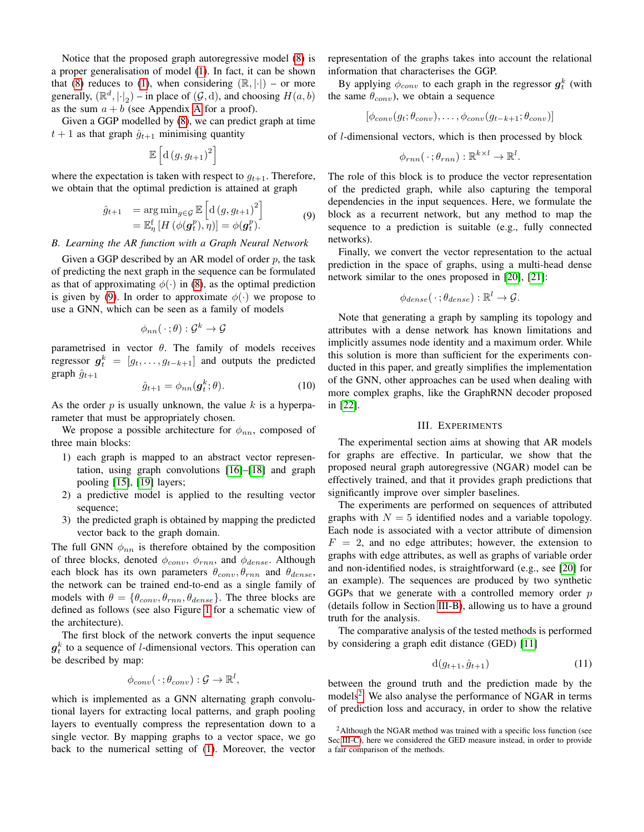Notice that the proposed graph autoregressive model [\(8\)](#page-1-6) is a proper generalisation of model [\(1\)](#page-0-0). In fact, it can be shown that [\(8\)](#page-1-6) reduces to [\(1\)](#page-0-0), when considering  $(\mathbb{R}, |\cdot|)$  – or more generally,  $(\mathbb{R}^d, |\cdot|_2)$  – in place of  $(\mathcal{G}, d)$ , and choosing  $H(a, b)$ as the sum  $a + b$  (see [A](#page-7-13)ppendix A for a proof).

Given a GGP modelled by [\(8\)](#page-1-6), we can predict graph at time  $t + 1$  as that graph  $\hat{g}_{t+1}$  minimising quantity

$$
\mathbb{E}\left[\mathrm{d}\left(g,g_{t+1}\right)^2\right]
$$

where the expectation is taken with respect to  $g_{t+1}$ . Therefore, we obtain that the optimal prediction is attained at graph

<span id="page-2-2"></span>
$$
\hat{g}_{t+1} = \arg \min_{g \in \mathcal{G}} \mathbb{E} \left[ \mathrm{d} \left( g, g_{t+1} \right)^2 \right] \n= \mathbb{E}_\eta^{\mathsf{f}} \left[ H \left( \phi(\mathbf{g}_t^p), \eta \right) \right] = \phi(\mathbf{g}_t^p).
$$
\n(9)

#### <span id="page-2-0"></span>*B. Learning the AR function with a Graph Neural Network*

Given a GGP described by an AR model of order  $p$ , the task of predicting the next graph in the sequence can be formulated as that of approximating  $\phi(\cdot)$  in [\(8\)](#page-1-6), as the optimal prediction is given by [\(9\)](#page-2-2). In order to approximate  $\phi(\cdot)$  we propose to use a GNN, which can be seen as a family of models

$$
\phi_{nn}(\,\cdot\,;\theta):\mathcal{G}^k\to\mathcal{G}
$$

parametrised in vector  $\theta$ . The family of models receives regressor  $g_t^k = [g_t, \ldots, g_{t-k+1}]$  and outputs the predicted graph  $\hat{g}_{t+1}$ 

$$
\hat{g}_{t+1} = \phi_{nn}(\mathbf{g}_t^k; \theta). \tag{10}
$$

As the order  $p$  is usually unknown, the value  $k$  is a hyperparameter that must be appropriately chosen.

We propose a possible architecture for  $\phi_{nn}$ , composed of three main blocks:

- 1) each graph is mapped to an abstract vector representation, using graph convolutions [\[16\]](#page-7-14)–[\[18\]](#page-7-15) and graph pooling [\[15\]](#page-7-16), [\[19\]](#page-7-17) layers;
- 2) a predictive model is applied to the resulting vector sequence;
- 3) the predicted graph is obtained by mapping the predicted vector back to the graph domain.

The full GNN  $\phi_{nn}$  is therefore obtained by the composition of three blocks, denoted  $\phi_{conv}$ ,  $\phi_{rnn}$ , and  $\phi_{dense}$ . Although each block has its own parameters  $\theta_{conv}$ ,  $\theta_{rnn}$  and  $\theta_{dense}$ , the network can be trained end-to-end as a single family of models with  $\theta = {\theta_{conv}, \theta_{rnn}, \theta_{dense}}$ . The three blocks are defined as follows (see also Figure [1](#page-3-0) for a schematic view of the architecture).

The first block of the network converts the input sequence  $g_t^k$  to a sequence of *l*-dimensional vectors. This operation can be described by map:

$$
\phi_{conv}(\cdot\,;\theta_{conv}): \mathcal{G} \to \mathbb{R}^l,
$$

which is implemented as a GNN alternating graph convolutional layers for extracting local patterns, and graph pooling layers to eventually compress the representation down to a single vector. By mapping graphs to a vector space, we go back to the numerical setting of [\(1\)](#page-0-0). Moreover, the vector

representation of the graphs takes into account the relational information that characterises the GGP.

By applying  $\phi_{conv}$  to each graph in the regressor  $g_t^k$  (with the same  $\theta_{conv}$ ), we obtain a sequence

$$
[\phi_{conv}(g_t; \theta_{conv}), \ldots, \phi_{conv}(g_{t-k+1}; \theta_{conv})]
$$

of l-dimensional vectors, which is then processed by block

$$
\phi_{rnn}(\cdot\,;\theta_{rnn}): \mathbb{R}^{k\times l}\to \mathbb{R}^l.
$$

The role of this block is to produce the vector representation of the predicted graph, while also capturing the temporal dependencies in the input sequences. Here, we formulate the block as a recurrent network, but any method to map the sequence to a prediction is suitable (e.g., fully connected networks).

Finally, we convert the vector representation to the actual prediction in the space of graphs, using a multi-head dense network similar to the ones proposed in [\[20\]](#page-7-18), [\[21\]](#page-7-19):

$$
\phi_{dense}(\cdot;\theta_{dense}): \mathbb{R}^l \to \mathcal{G}.
$$

Note that generating a graph by sampling its topology and attributes with a dense network has known limitations and implicitly assumes node identity and a maximum order. While this solution is more than sufficient for the experiments conducted in this paper, and greatly simplifies the implementation of the GNN, other approaches can be used when dealing with more complex graphs, like the GraphRNN decoder proposed in [\[22\]](#page-7-20).

#### III. EXPERIMENTS

<span id="page-2-1"></span>The experimental section aims at showing that AR models for graphs are effective. In particular, we show that the proposed neural graph autoregressive (NGAR) model can be effectively trained, and that it provides graph predictions that significantly improve over simpler baselines.

The experiments are performed on sequences of attributed graphs with  $N = 5$  identified nodes and a variable topology. Each node is associated with a vector attribute of dimension  $F = 2$ , and no edge attributes; however, the extension to graphs with edge attributes, as well as graphs of variable order and non-identified nodes, is straightforward (e.g., see [\[20\]](#page-7-18) for an example). The sequences are produced by two synthetic GGPs that we generate with a controlled memory order  $p$ (details follow in Section [III-B\)](#page-3-1), allowing us to have a ground truth for the analysis.

The comparative analysis of the tested methods is performed by considering a graph edit distance (GED) [\[11\]](#page-7-9)

<span id="page-2-4"></span>
$$
d(g_{t+1}, \hat{g}_{t+1}) \tag{11}
$$

between the ground truth and the prediction made by the models<sup>[2](#page-2-3)</sup>. We also analyse the performance of NGAR in terms of prediction loss and accuracy, in order to show the relative

<span id="page-2-3"></span><sup>&</sup>lt;sup>2</sup>Although the NGAR method was trained with a specific loss function (see Sec[.III-C\)](#page-4-0), here we considered the GED measure instead, in order to provide a fair comparison of the methods.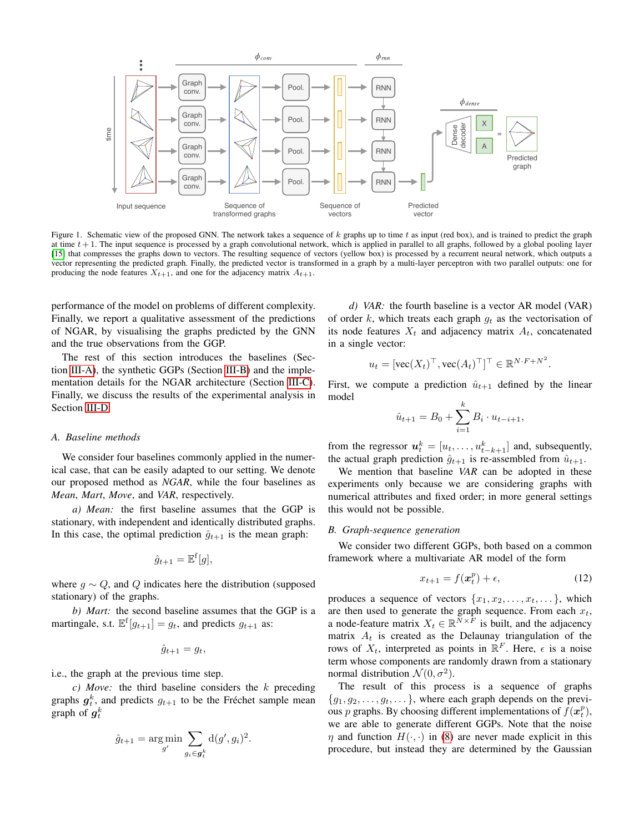

<span id="page-3-0"></span>Figure 1. Schematic view of the proposed GNN. The network takes a sequence of  $k$  graphs up to time  $t$  as input (red box), and is trained to predict the graph at time  $t + 1$ . The input sequence is processed by a graph convolutional network, which is applied in parallel to all graphs, followed by a global pooling layer [\[15\]](#page-7-16) that compresses the graphs down to vectors. The resulting sequence of vectors (yellow box) is processed by a recurrent neural network, which outputs a vector representing the predicted graph. Finally, the predicted vector is transformed in a graph by a multi-layer perceptron with two parallel outputs: one for producing the node features  $X_{t+1}$ , and one for the adjacency matrix  $A_{t+1}$ .

performance of the model on problems of different complexity. Finally, we report a qualitative assessment of the predictions of NGAR, by visualising the graphs predicted by the GNN and the true observations from the GGP.

The rest of this section introduces the baselines (Section [III-A\)](#page-3-2), the synthetic GGPs (Section [III-B\)](#page-3-1) and the implementation details for the NGAR architecture (Section [III-C\)](#page-4-0). Finally, we discuss the results of the experimental analysis in Section [III-D.](#page-5-0)

## <span id="page-3-2"></span>*A. Baseline methods*

We consider four baselines commonly applied in the numerical case, that can be easily adapted to our setting. We denote our proposed method as *NGAR*, while the four baselines as *Mean*, *Mart*, *Move*, and *VAR*, respectively.

*a) Mean:* the first baseline assumes that the GGP is stationary, with independent and identically distributed graphs. In this case, the optimal prediction  $\hat{g}_{t+1}$  is the mean graph:

$$
\hat{g}_{t+1} = \mathbb{E}^{\mathbf{f}}[g],
$$

where  $g \sim Q$ , and Q indicates here the distribution (supposed stationary) of the graphs.

*b) Mart:* the second baseline assumes that the GGP is a martingale, s.t.  $\mathbb{E}^{\{f\}}[g_{t+1}] = g_t$ , and predicts  $g_{t+1}$  as:

$$
\hat{g}_{t+1} = g_t,
$$

i.e., the graph at the previous time step.

*c) Move:* the third baseline considers the k preceding graphs  $g_t^k$ , and predicts  $g_{t+1}$  to be the Fréchet sample mean graph of  $\boldsymbol{g}^k_t$ 

$$
\hat{g}_{t+1} = \underset{g'}{\arg \min} \sum_{g_i \in \mathbf{g}_t^k} \mathrm{d}(g', g_i)^2.
$$

*d) VAR:* the fourth baseline is a vector AR model (VAR) of order k, which treats each graph  $q_t$  as the vectorisation of its node features  $X_t$  and adjacency matrix  $A_t$ , concatenated in a single vector:

$$
u_t = [\text{vec}(X_t)^\top, \text{vec}(A_t)^\top]^\top \in \mathbb{R}^{N \cdot F + N^2}
$$

First, we compute a prediction  $\hat{u}_{t+1}$  defined by the linear model

$$
\hat{u}_{t+1} = B_0 + \sum_{i=1}^{k} B_i \cdot u_{t-i+1},
$$

from the regressor  $u_t^k = [u_t, \dots, u_{t-k+1}^k]$  and, subsequently, the actual graph prediction  $\hat{g}_{t+1}$  is re-assembled from  $\hat{u}_{t+1}$ .

We mention that baseline *VAR* can be adopted in these experiments only because we are considering graphs with numerical attributes and fixed order; in more general settings this would not be possible.

## <span id="page-3-1"></span>*B. Graph-sequence generation*

We consider two different GGPs, both based on a common framework where a multivariate AR model of the form

<span id="page-3-3"></span>
$$
x_{t+1} = f(\boldsymbol{x}_t^p) + \epsilon,\tag{12}
$$

.

produces a sequence of vectors  $\{x_1, x_2, \ldots, x_t, \ldots\}$ , which are then used to generate the graph sequence. From each  $x_t$ , a node-feature matrix  $X_t \in \mathbb{R}^{\bar{N} \times \bar{F}}$  is built, and the adjacency matrix  $A_t$  is created as the Delaunay triangulation of the rows of  $X_t$ , interpreted as points in  $\mathbb{R}^F$ . Here,  $\epsilon$  is a noise term whose components are randomly drawn from a stationary normal distribution  $\mathcal{N}(0, \sigma^2)$ .

The result of this process is a sequence of graphs  ${g_1, g_2, \ldots, g_t, \ldots}$ , where each graph depends on the previous p graphs. By choosing different implementations of  $f(x_t^p)$ , we are able to generate different GGPs. Note that the noise  $\eta$  and function  $H(\cdot, \cdot)$  in [\(8\)](#page-1-6) are never made explicit in this procedure, but instead they are determined by the Gaussian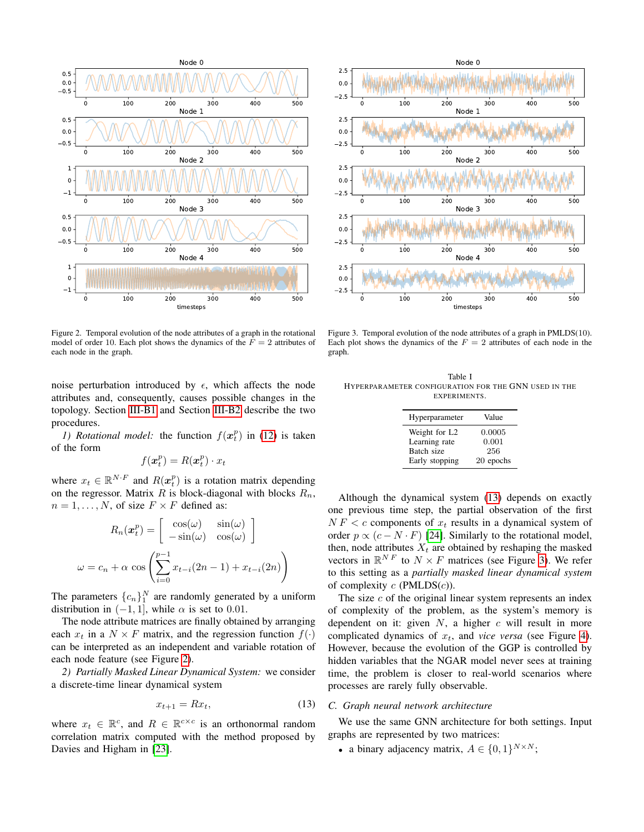

<span id="page-4-3"></span>Figure 2. Temporal evolution of the node attributes of a graph in the rotational model of order 10. Each plot shows the dynamics of the  $F = 2$  attributes of each node in the graph.

noise perturbation introduced by  $\epsilon$ , which affects the node attributes and, consequently, causes possible changes in the topology. Section [III-B1](#page-4-1) and Section [III-B2](#page-4-2) describe the two procedures.

<span id="page-4-1"></span>*1) Rotational model:* the function  $f(x_t^p)$  in [\(12\)](#page-3-3) is taken of the form

$$
f(\boldsymbol{x}_t^p) = R(\boldsymbol{x}_t^p) \cdot x_t
$$

where  $x_t \in \mathbb{R}^{N \cdot F}$  and  $R(x_t^p)$  is a rotation matrix depending on the regressor. Matrix R is block-diagonal with blocks  $R_n$ ,  $n = 1, \ldots, N$ , of size  $F \times F$  defined as:

$$
R_n(\boldsymbol{x}_t^p) = \begin{bmatrix} \cos(\omega) & \sin(\omega) \\ -\sin(\omega) & \cos(\omega) \end{bmatrix}
$$

$$
\omega = c_n + \alpha \cos\left(\sum_{i=0}^{p-1} x_{t-i}(2n-1) + x_{t-i}(2n)\right)
$$

The parameters  $\{c_n\}_1^N$  are randomly generated by a uniform distribution in  $(-1, 1]$ , while  $\alpha$  is set to 0.01.

The node attribute matrices are finally obtained by arranging each  $x_t$  in a  $N \times F$  matrix, and the regression function  $f(\cdot)$ can be interpreted as an independent and variable rotation of each node feature (see Figure [2\)](#page-4-3).

<span id="page-4-2"></span>*2) Partially Masked Linear Dynamical System:* we consider a discrete-time linear dynamical system

<span id="page-4-4"></span>
$$
x_{t+1} = Rx_t, \tag{13}
$$

where  $x_t \in \mathbb{R}^c$ , and  $R \in \mathbb{R}^{c \times c}$  is an orthonormal random correlation matrix computed with the method proposed by Davies and Higham in [\[23\]](#page-7-21).



<span id="page-4-5"></span>Figure 3. Temporal evolution of the node attributes of a graph in PMLDS(10). Each plot shows the dynamics of the  $F = 2$  attributes of each node in the graph.

<span id="page-4-6"></span>Table I HYPERPARAMETER CONFIGURATION FOR THE GNN USED IN THE EXPERIMENTS.

| Hyperparameter            | Value     |
|---------------------------|-----------|
| Weight for L <sub>2</sub> | 0.0005    |
| Learning rate             | 0.001     |
| Batch size                | 256       |
| Early stopping            | 20 epochs |

Although the dynamical system [\(13\)](#page-4-4) depends on exactly one previous time step, the partial observation of the first  $N F < c$  components of  $x_t$  results in a dynamical system of order  $p \propto (c - N \cdot F)$  [\[24\]](#page-7-22). Similarly to the rotational model, then, node attributes  $X_t$  are obtained by reshaping the masked vectors in  $\mathbb{R}^{N}$  to  $N \times F$  matrices (see Figure [3\)](#page-4-5). We refer to this setting as a *partially masked linear dynamical system* of complexity  $c$  (PMLDS $(c)$ ).

The size  $c$  of the original linear system represents an index of complexity of the problem, as the system's memory is dependent on it: given  $N$ , a higher  $c$  will result in more complicated dynamics of  $x_t$ , and *vice versa* (see Figure [4\)](#page-5-1). However, because the evolution of the GGP is controlled by hidden variables that the NGAR model never sees at training time, the problem is closer to real-world scenarios where processes are rarely fully observable.

## <span id="page-4-0"></span>*C. Graph neural network architecture*

We use the same GNN architecture for both settings. Input graphs are represented by two matrices:

• a binary adjacency matrix,  $A \in \{0, 1\}^{N \times N}$ ;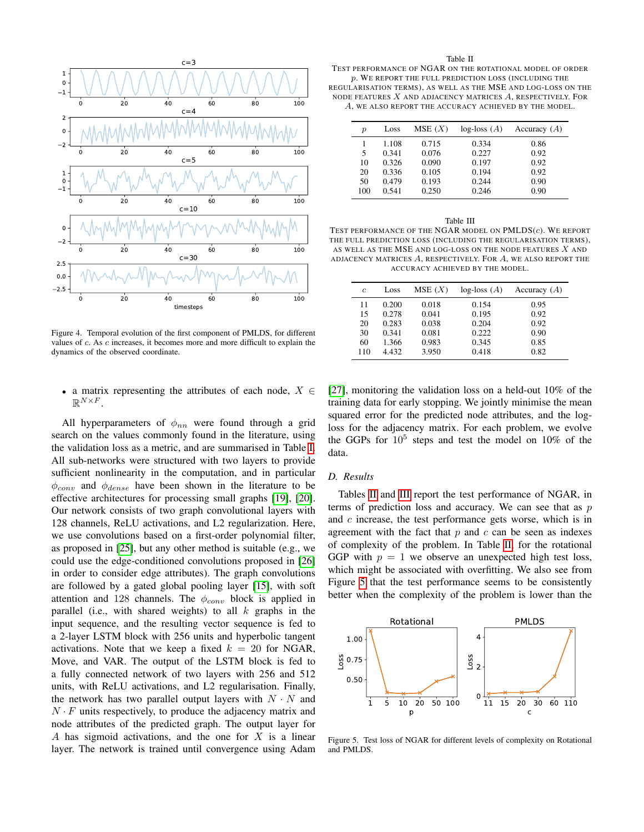

<span id="page-5-1"></span>Figure 4. Temporal evolution of the first component of PMLDS, for different values of c. As c increases, it becomes more and more difficult to explain the dynamics of the observed coordinate.

• a matrix representing the attributes of each node,  $X \in$  $\mathbb{R}^{N\times F}.$ 

All hyperparameters of  $\phi_{nn}$  were found through a grid search on the values commonly found in the literature, using the validation loss as a metric, and are summarised in Table [I.](#page-4-6) All sub-networks were structured with two layers to provide sufficient nonlinearity in the computation, and in particular  $\phi_{conv}$  and  $\phi_{dense}$  have been shown in the literature to be effective architectures for processing small graphs [\[19\]](#page-7-17), [\[20\]](#page-7-18). Our network consists of two graph convolutional layers with 128 channels, ReLU activations, and L2 regularization. Here, we use convolutions based on a first-order polynomial filter, as proposed in [\[25\]](#page-7-23), but any other method is suitable (e.g., we could use the edge-conditioned convolutions proposed in [\[26\]](#page-7-24) in order to consider edge attributes). The graph convolutions are followed by a gated global pooling layer [\[15\]](#page-7-16), with soft attention and 128 channels. The  $\phi_{conv}$  block is applied in parallel (i.e., with shared weights) to all  $k$  graphs in the input sequence, and the resulting vector sequence is fed to a 2-layer LSTM block with 256 units and hyperbolic tangent activations. Note that we keep a fixed  $k = 20$  for NGAR, Move, and VAR. The output of the LSTM block is fed to a fully connected network of two layers with 256 and 512 units, with ReLU activations, and L2 regularisation. Finally, the network has two parallel output layers with  $N \cdot N$  and  $N \cdot F$  units respectively, to produce the adjacency matrix and node attributes of the predicted graph. The output layer for A has sigmoid activations, and the one for  $X$  is a linear layer. The network is trained until convergence using Adam

#### Table II

<span id="page-5-2"></span>TEST PERFORMANCE OF NGAR ON THE ROTATIONAL MODEL OF ORDER p. WE REPORT THE FULL PREDICTION LOSS (INCLUDING THE REGULARISATION TERMS), AS WELL AS THE MSE AND LOG-LOSS ON THE NODE FEATURES X AND ADJACENCY MATRICES A, RESPECTIVELY. FOR A, WE ALSO REPORT THE ACCURACY ACHIEVED BY THE MODEL.

| $\boldsymbol{p}$ | Loss  | MSE(X) | $log-loss (A)$ | Accuracy $(A)$ |
|------------------|-------|--------|----------------|----------------|
|                  | 1.108 | 0.715  | 0.334          | 0.86           |
| 5                | 0.341 | 0.076  | 0.227          | 0.92           |
| 10               | 0.326 | 0.090  | 0.197          | 0.92           |
| 20               | 0.336 | 0.105  | 0.194          | 0.92           |
| 50               | 0.479 | 0.193  | 0.244          | 0.90           |
| 100              | 0.541 | 0.250  | 0.246          | 0.90           |

<span id="page-5-3"></span>

| Table III                                                           |
|---------------------------------------------------------------------|
| TEST PERFORMANCE OF THE NGAR MODEL ON $\text{PMLDS}(c)$ . WE REPORT |
| THE FULL PREDICTION LOSS (INCLUDING THE REGULARISATION TERMS),      |
| AS WELL AS THE MSE AND LOG-LOSS ON THE NODE FEATURES $X$ and        |
| ADJACENCY MATRICES A, RESPECTIVELY, FOR A, WE ALSO REPORT THE       |
| ACCURACY ACHIEVED BY THE MODEL.                                     |

| $\boldsymbol{c}$ | Loss  | MSE(X) | $log-loss (A)$ | Accuracy $(A)$ |
|------------------|-------|--------|----------------|----------------|
| 11               | 0.200 | 0.018  | 0.154          | 0.95           |
| 15               | 0.278 | 0.041  | 0.195          | 0.92           |
| 20               | 0.283 | 0.038  | 0.204          | 0.92           |
| 30               | 0.341 | 0.081  | 0.222          | 0.90           |
| 60               | 1.366 | 0.983  | 0.345          | 0.85           |
| 110              | 4.432 | 3.950  | 0.418          | 0.82           |

[\[27\]](#page-7-25), monitoring the validation loss on a held-out 10% of the training data for early stopping. We jointly minimise the mean squared error for the predicted node attributes, and the logloss for the adjacency matrix. For each problem, we evolve the GGPs for  $10^5$  steps and test the model on  $10\%$  of the data.

#### <span id="page-5-0"></span>*D. Results*

Tables [II](#page-5-2) and [III](#page-5-3) report the test performance of NGAR, in terms of prediction loss and accuracy. We can see that as  $p$ and  $c$  increase, the test performance gets worse, which is in agreement with the fact that  $p$  and  $c$  can be seen as indexes of complexity of the problem. In Table [II,](#page-5-2) for the rotational GGP with  $p = 1$  we observe an unexpected high test loss, which might be associated with overfitting. We also see from Figure [5](#page-5-4) that the test performance seems to be consistently better when the complexity of the problem is lower than the



<span id="page-5-4"></span>Figure 5. Test loss of NGAR for different levels of complexity on Rotational and PMLDS.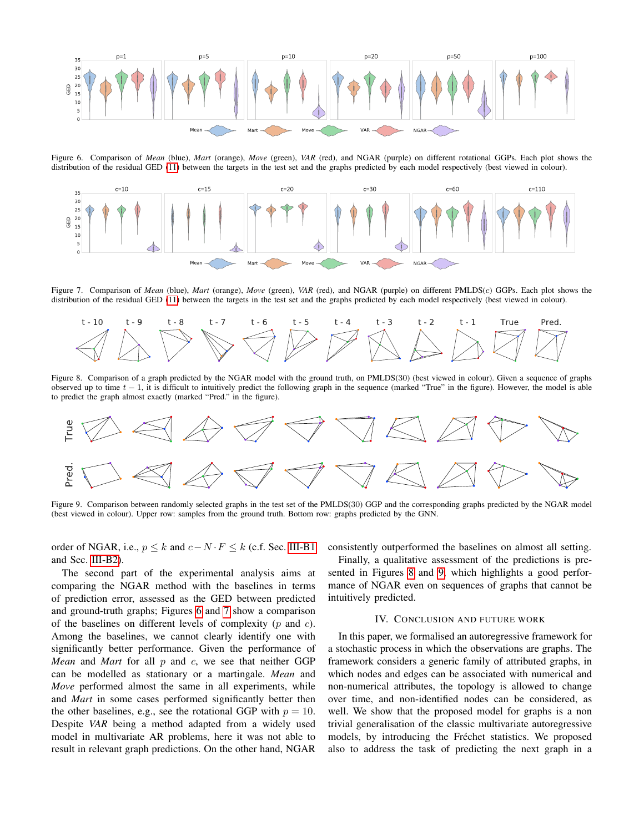

<span id="page-6-0"></span>Figure 6. Comparison of *Mean* (blue), *Mart* (orange), *Move* (green), *VAR* (red), and NGAR (purple) on different rotational GGPs. Each plot shows the distribution of the residual GED [\(11\)](#page-2-4) between the targets in the test set and the graphs predicted by each model respectively (best viewed in colour).



<span id="page-6-1"></span>Figure 7. Comparison of *Mean* (blue), *Mart* (orange), *Move* (green), *VAR* (red), and NGAR (purple) on different PMLDS(c) GGPs. Each plot shows the distribution of the residual GED [\(11\)](#page-2-4) between the targets in the test set and the graphs predicted by each model respectively (best viewed in colour).



<span id="page-6-2"></span>Figure 8. Comparison of a graph predicted by the NGAR model with the ground truth, on PMLDS(30) (best viewed in colour). Given a sequence of graphs observed up to time  $t - 1$ , it is difficult to intuitively predict the following graph in the sequence (marked "True" in the figure). However, the model is able to predict the graph almost exactly (marked "Pred." in the figure).



<span id="page-6-3"></span>Figure 9. Comparison between randomly selected graphs in the test set of the PMLDS(30) GGP and the corresponding graphs predicted by the NGAR model (best viewed in colour). Upper row: samples from the ground truth. Bottom row: graphs predicted by the GNN.

order of NGAR, i.e.,  $p \le k$  and  $c-N \cdot F \le k$  (c.f. Sec. [III-B1](#page-4-1) and Sec. [III-B2\)](#page-4-2).

The second part of the experimental analysis aims at comparing the NGAR method with the baselines in terms of prediction error, assessed as the GED between predicted and ground-truth graphs; Figures [6](#page-6-0) and [7](#page-6-1) show a comparison of the baselines on different levels of complexity  $(p \text{ and } c)$ . Among the baselines, we cannot clearly identify one with significantly better performance. Given the performance of *Mean* and *Mart* for all p and c, we see that neither GGP can be modelled as stationary or a martingale. *Mean* and *Move* performed almost the same in all experiments, while and *Mart* in some cases performed significantly better then the other baselines, e.g., see the rotational GGP with  $p = 10$ . Despite *VAR* being a method adapted from a widely used model in multivariate AR problems, here it was not able to result in relevant graph predictions. On the other hand, NGAR consistently outperformed the baselines on almost all setting.

Finally, a qualitative assessment of the predictions is presented in Figures [8](#page-6-2) and [9,](#page-6-3) which highlights a good performance of NGAR even on sequences of graphs that cannot be intuitively predicted.

## IV. CONCLUSION AND FUTURE WORK

In this paper, we formalised an autoregressive framework for a stochastic process in which the observations are graphs. The framework considers a generic family of attributed graphs, in which nodes and edges can be associated with numerical and non-numerical attributes, the topology is allowed to change over time, and non-identified nodes can be considered, as well. We show that the proposed model for graphs is a non trivial generalisation of the classic multivariate autoregressive models, by introducing the Fréchet statistics. We proposed also to address the task of predicting the next graph in a